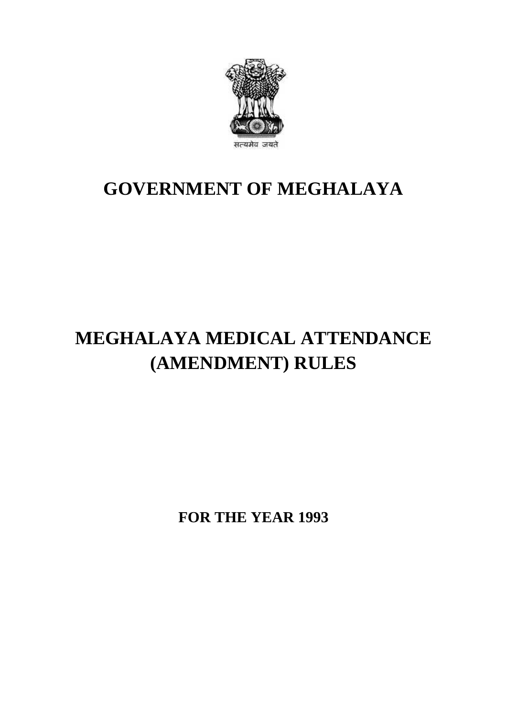

## **GOVERNMENT OF MEGHALAYA**

# **MEGHALAYA MEDICAL ATTENDANCE (AMENDMENT) RULES**

**FOR THE YEAR 1993**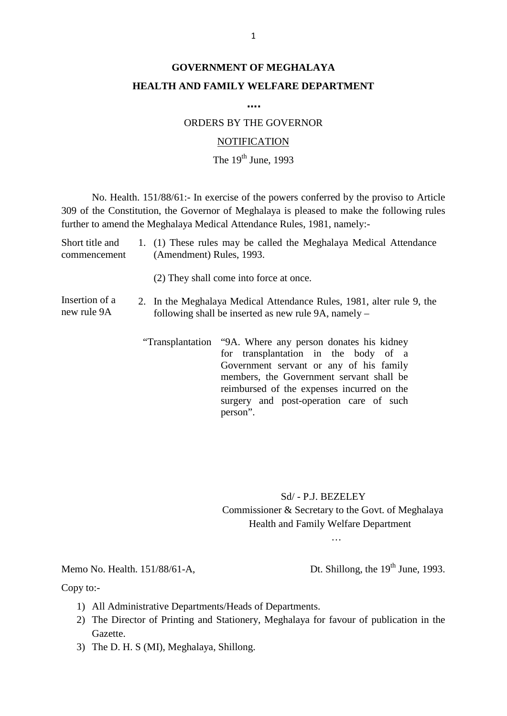### **GOVERNMENT OF MEGHALAYA HEALTH AND FAMILY WELFARE DEPARTMENT**

**….**

#### ORDERS BY THE GOVERNOR

#### **NOTIFICATION**

### The  $19^{th}$  June, 1993

MOTIFICATION<br>The 19<sup>th</sup> June, 1993<br>No. Health. 151/88/61:- In exercise of the powers conferred by the proviso to Article<br>309 of the Constitution, the Governor of Meghalaya is pleased to make the following rules Further to amend the Meghalaya Medical Attendance Rules, 1993<br>Solo of the Constitution, the Governor of Meghalaya is pleased to make the foll<br>further to amend the Meghalaya Medical Attendance Rules, 1981, namely:-<br>Short ti No. Health. 151/88/61:- In exercise of the powers conferred by the proviso to Article<br>309 of the Constitution, the Governor of Meghalaya is pleased to make the following rules<br>further to amend the Meghalaya Medical Attenda No. Health. 151/88/61:- In exercise of the pow<br>309 of the Constitution, the Governor of Meghalaya<br>further to amend the Meghalaya Medical Attendance F<br>Short title and 1. (1) These rules may be called<br>commencement (Amendment

Short title and 1. (1) These rules may be called the Meghalaya Medical Attendance<br>commencement (Amendment) Rules, 1993.<br>(2) They shall come into force at once.<br>Insertion of a 2. In the Meghalaya Medical Attendance Rules, 1

(2) They shall come into force at once.

- new rule 9A following shall be inserted as new rule 9A, namely
	- "Transplantation "9A. Where any person donates his kidney for transplantation in the body of a Government servant or any of his family members, the Government servant shall be reimbursed of the expenses incurred on the surgery and post-operation care of such person".

Sd/ - P.J. BEZELEY<br>Commissioner & Secretary to the Govt. of Meghalaya Sd/ - P.J. BEZELEY<br>Commissioner & Secretary to the Govt. of Meghalaya<br>Health and Family Welfare Department Health and Family Welfare Department Commissioner & Secretary to the Govt. of Meghalaya<br>
Health and Family Welfare Department<br>
...<br>
Memo No. Health. 151/88/61-A, Dt. Shillong, the 19<sup>th</sup> June, 1993.<br>
Copy to:-

…

Copy to:-

- 
- 1) Multimum Administrative Departments/Heads of Departments.<br>
1) All Administrative Departments/Heads of Departments.<br>
2) The Director of Printing and Stationery, Meghalaya for favor. 2) The Director of Printing and Stationery, Meghalaya for favour of publication in the Gazette. Gazette. 2) All Administrative Departments/Heads of Departments.<br>
2) The Director of Printing and Stationery, Meghalaya fo<br>
Gazette.<br>
3) The D. H. S (MI), Meghalaya, Shillong.
-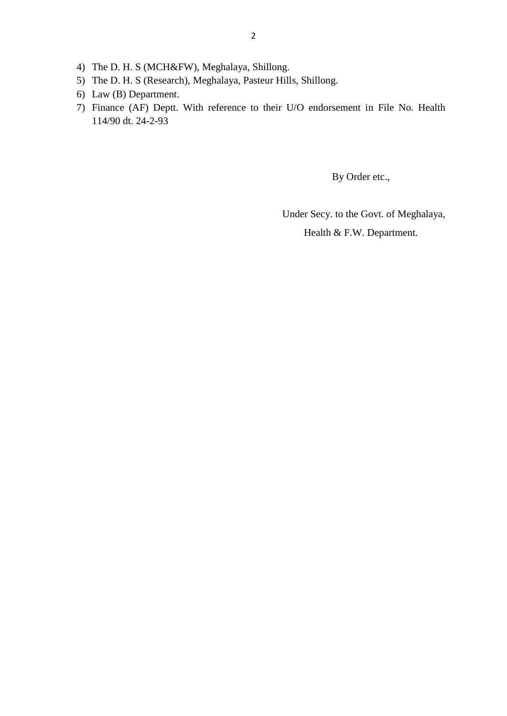- 
- 2<br>4) The D. H. S (MCH&FW), Meghalaya, Shillong.<br>5) The D. H. S (Research), Meghalaya, Pasteur Hills, Sl 2<br>
4) The D. H. S (MCH&FW), Meghalaya, Shillong.<br>
5) The D. H. S (Research), Meghalaya, Pasteur Hills, Shillong.<br>
6) Law (B) Department.
- 
- 4) The D. H. S (MCH&FW).<br>5) The D. H. S (Research), N<br>6) Law (B) Department.<br>7) Finance (AF) Deptt. Wit 7) Finance (AF) Depthecence to their U/O endorsement in File No. Health<br>
7) Finance (AF) Deptt. With reference to their U/O endorsement in File No. Health 114/90 dt. 24-2-93

By Order etc.,

Under Secy. to the Govt. of Meghalaya,

Health & F.W. Department.